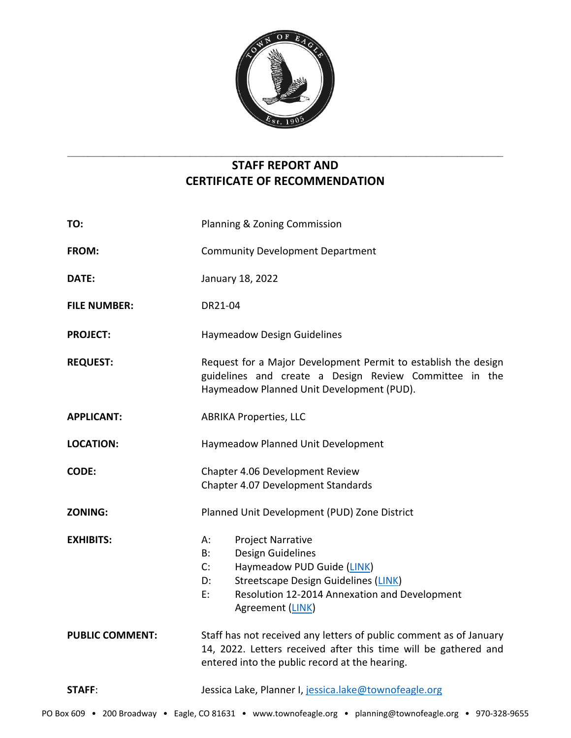

# **STAFF REPORT AND CERTIFICATE OF RECOMMENDATION**

\_\_\_\_\_\_\_\_\_\_\_\_\_\_\_\_\_\_\_\_\_\_\_\_\_\_\_\_\_\_\_\_\_\_\_\_\_\_\_\_\_\_\_\_\_\_\_\_\_\_\_\_\_\_\_\_\_\_\_\_\_\_\_\_\_\_\_\_\_\_\_\_\_\_\_\_\_\_\_\_\_\_\_\_\_

| TO:                    | Planning & Zoning Commission                                                                                                                                                                                                  |
|------------------------|-------------------------------------------------------------------------------------------------------------------------------------------------------------------------------------------------------------------------------|
| FROM:                  | <b>Community Development Department</b>                                                                                                                                                                                       |
| DATE:                  | January 18, 2022                                                                                                                                                                                                              |
| <b>FILE NUMBER:</b>    | DR21-04                                                                                                                                                                                                                       |
| <b>PROJECT:</b>        | <b>Haymeadow Design Guidelines</b>                                                                                                                                                                                            |
| <b>REQUEST:</b>        | Request for a Major Development Permit to establish the design<br>guidelines and create a Design Review Committee in the<br>Haymeadow Planned Unit Development (PUD).                                                         |
| <b>APPLICANT:</b>      | <b>ABRIKA Properties, LLC</b>                                                                                                                                                                                                 |
| <b>LOCATION:</b>       | Haymeadow Planned Unit Development                                                                                                                                                                                            |
| <b>CODE:</b>           | Chapter 4.06 Development Review<br>Chapter 4.07 Development Standards                                                                                                                                                         |
| <b>ZONING:</b>         | Planned Unit Development (PUD) Zone District                                                                                                                                                                                  |
| <b>EXHIBITS:</b>       | <b>Project Narrative</b><br>А:<br>Design Guidelines<br>B:<br>Haymeadow PUD Guide (LINK)<br>C:<br><b>Streetscape Design Guidelines (LINK)</b><br>D:<br>Resolution 12-2014 Annexation and Development<br>E:<br>Agreement (LINK) |
| <b>PUBLIC COMMENT:</b> | Staff has not received any letters of public comment as of January<br>14, 2022. Letters received after this time will be gathered and<br>entered into the public record at the hearing.                                       |
| STAFF:                 | Jessica Lake, Planner I, jessica.lake@townofeagle.org                                                                                                                                                                         |
|                        |                                                                                                                                                                                                                               |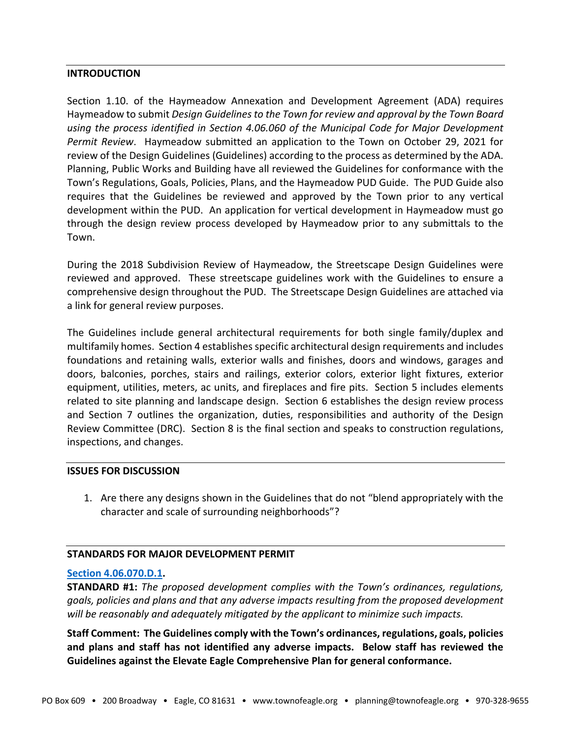### **INTRODUCTION**

Section 1.10. of the Haymeadow Annexation and Development Agreement (ADA) requires Haymeadow to submit *Design Guidelines to the Town for review and approval by the Town Board using the process identified in Section 4.06.060 of the Municipal Code for Major Development Permit Review*. Haymeadow submitted an application to the Town on October 29, 2021 for review of the Design Guidelines (Guidelines) according to the process as determined by the ADA. Planning, Public Works and Building have all reviewed the Guidelines for conformance with the Town's Regulations, Goals, Policies, Plans, and the Haymeadow PUD Guide. The PUD Guide also requires that the Guidelines be reviewed and approved by the Town prior to any vertical development within the PUD. An application for vertical development in Haymeadow must go through the design review process developed by Haymeadow prior to any submittals to the Town.

During the 2018 Subdivision Review of Haymeadow, the Streetscape Design Guidelines were reviewed and approved. These streetscape guidelines work with the Guidelines to ensure a comprehensive design throughout the PUD. The Streetscape Design Guidelines are attached via a link for general review purposes.

The Guidelines include general architectural requirements for both single family/duplex and multifamily homes. Section 4 establishes specific architectural design requirements and includes foundations and retaining walls, exterior walls and finishes, doors and windows, garages and doors, balconies, porches, stairs and railings, exterior colors, exterior light fixtures, exterior equipment, utilities, meters, ac units, and fireplaces and fire pits. Section 5 includes elements related to site planning and landscape design. Section 6 establishes the design review process and Section 7 outlines the organization, duties, responsibilities and authority of the Design Review Committee (DRC). Section 8 is the final section and speaks to construction regulations, inspections, and changes.

## **ISSUES FOR DISCUSSION**

1. Are there any designs shown in the Guidelines that do not "blend appropriately with the character and scale of surrounding neighborhoods"?

#### **STANDARDS FOR MAJOR DEVELOPMENT PERMIT**

### **[Section 4.06.070.D.1.](https://library.municode.com/co/eagle/codes/code_of_ordinances?nodeId=COOR_TIT4LAUSDECO_CH4.06DERE_S4.06.070MADERE)**

**STANDARD #1:** *The proposed development complies with the Town's ordinances, regulations, goals, policies and plans and that any adverse impacts resulting from the proposed development will be reasonably and adequately mitigated by the applicant to minimize such impacts.*

**Staff Comment: The Guidelines comply with the Town's ordinances, regulations, goals, policies and plans and staff has not identified any adverse impacts. Below staff has reviewed the Guidelines against the Elevate Eagle Comprehensive Plan for general conformance.**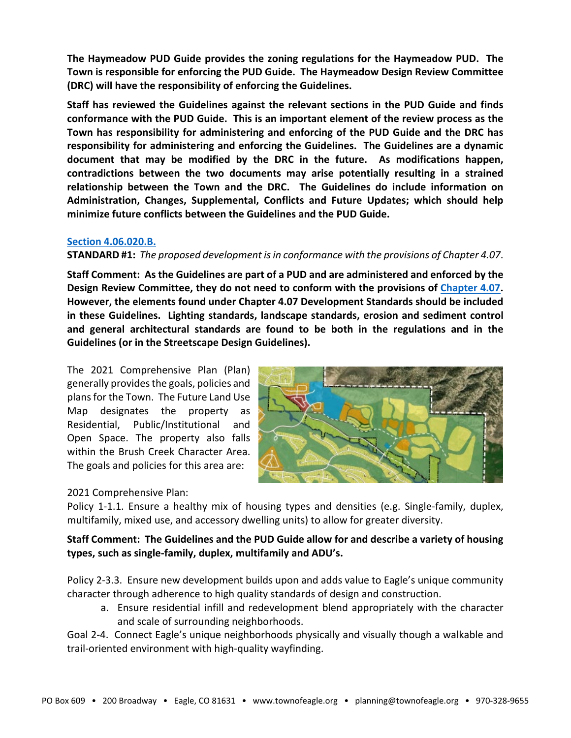**The Haymeadow PUD Guide provides the zoning regulations for the Haymeadow PUD. The Town is responsible for enforcing the PUD Guide. The Haymeadow Design Review Committee (DRC) will have the responsibility of enforcing the Guidelines.**

**Staff has reviewed the Guidelines against the relevant sections in the PUD Guide and finds conformance with the PUD Guide. This is an important element of the review process as the Town has responsibility for administering and enforcing of the PUD Guide and the DRC has responsibility for administering and enforcing the Guidelines. The Guidelines are a dynamic document that may be modified by the DRC in the future. As modifications happen, contradictions between the two documents may arise potentially resulting in a strained relationship between the Town and the DRC. The Guidelines do include information on Administration, Changes, Supplemental, Conflicts and Future Updates; which should help minimize future conflicts between the Guidelines and the PUD Guide.** 

### **[Section 4.06.020.B.](https://library.municode.com/co/eagle/codes/code_of_ordinances?nodeId=COOR_TIT4LAUSDECO_CH4.06DERE_S4.06.020DEPE)**

## **STANDARD #1:** *The proposed development is in conformance with the provisions of Chapter 4.07*.

**Staff Comment: As the Guidelines are part of a PUD and are administered and enforced by the Design Review Committee, they do not need to conform with the provisions of [Chapter 4.07.](https://library.municode.com/co/eagle/codes/code_of_ordinances?nodeId=COOR_TIT4LAUSDECO_CH4.07DEST) However, the elements found under Chapter 4.07 Development Standards should be included in these Guidelines. Lighting standards, landscape standards, erosion and sediment control and general architectural standards are found to be both in the regulations and in the Guidelines (or in the Streetscape Design Guidelines).**

The 2021 Comprehensive Plan (Plan) generally provides the goals, policies and plans for the Town. The Future Land Use Map designates the property as Residential, Public/Institutional and Open Space. The property also falls within the Brush Creek Character Area. The goals and policies for this area are:



## 2021 Comprehensive Plan:

Policy 1-1.1. Ensure a healthy mix of housing types and densities (e.g. Single-family, duplex, multifamily, mixed use, and accessory dwelling units) to allow for greater diversity.

# **Staff Comment: The Guidelines and the PUD Guide allow for and describe a variety of housing types, such as single-family, duplex, multifamily and ADU's.**

Policy 2-3.3. Ensure new development builds upon and adds value to Eagle's unique community character through adherence to high quality standards of design and construction.

a. Ensure residential infill and redevelopment blend appropriately with the character and scale of surrounding neighborhoods.

Goal 2-4. Connect Eagle's unique neighborhoods physically and visually though a walkable and trail-oriented environment with high-quality wayfinding.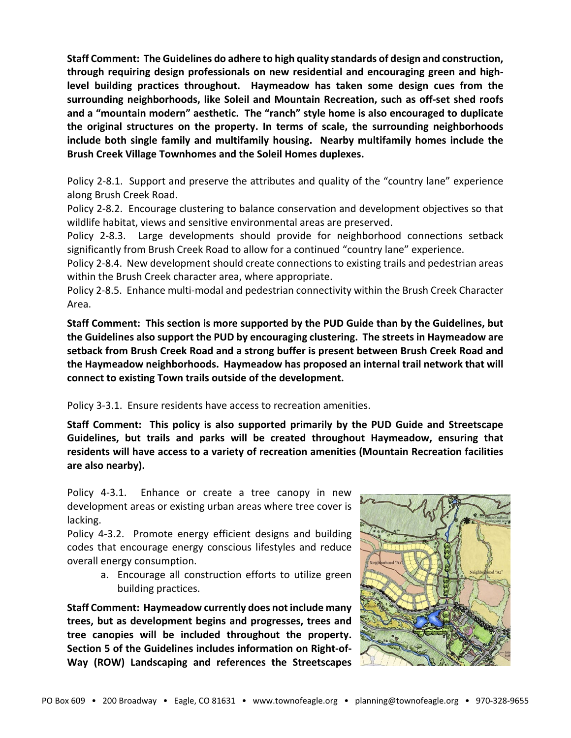**Staff Comment: The Guidelines do adhere to high quality standards of design and construction, through requiring design professionals on new residential and encouraging green and highlevel building practices throughout. Haymeadow has taken some design cues from the surrounding neighborhoods, like Soleil and Mountain Recreation, such as off-set shed roofs and a "mountain modern" aesthetic. The "ranch" style home is also encouraged to duplicate the original structures on the property. In terms of scale, the surrounding neighborhoods include both single family and multifamily housing. Nearby multifamily homes include the Brush Creek Village Townhomes and the Soleil Homes duplexes.**

Policy 2-8.1. Support and preserve the attributes and quality of the "country lane" experience along Brush Creek Road.

Policy 2-8.2. Encourage clustering to balance conservation and development objectives so that wildlife habitat, views and sensitive environmental areas are preserved.

Policy 2-8.3. Large developments should provide for neighborhood connections setback significantly from Brush Creek Road to allow for a continued "country lane" experience.

Policy 2-8.4. New development should create connections to existing trails and pedestrian areas within the Brush Creek character area, where appropriate.

Policy 2-8.5. Enhance multi-modal and pedestrian connectivity within the Brush Creek Character Area.

**Staff Comment: This section is more supported by the PUD Guide than by the Guidelines, but the Guidelines also support the PUD by encouraging clustering. The streets in Haymeadow are setback from Brush Creek Road and a strong buffer is present between Brush Creek Road and the Haymeadow neighborhoods. Haymeadow has proposed an internal trail network that will connect to existing Town trails outside of the development.**

Policy 3-3.1. Ensure residents have access to recreation amenities.

**Staff Comment: This policy is also supported primarily by the PUD Guide and Streetscape Guidelines, but trails and parks will be created throughout Haymeadow, ensuring that residents will have access to a variety of recreation amenities (Mountain Recreation facilities are also nearby).** 

Policy 4-3.1. Enhance or create a tree canopy in new development areas or existing urban areas where tree cover is lacking.

Policy 4-3.2. Promote energy efficient designs and building codes that encourage energy conscious lifestyles and reduce overall energy consumption.

> a. Encourage all construction efforts to utilize green building practices.

**Staff Comment: Haymeadow currently does not include many trees, but as development begins and progresses, trees and tree canopies will be included throughout the property. Section 5 of the Guidelines includes information on Right-of-Way (ROW) Landscaping and references the Streetscapes**